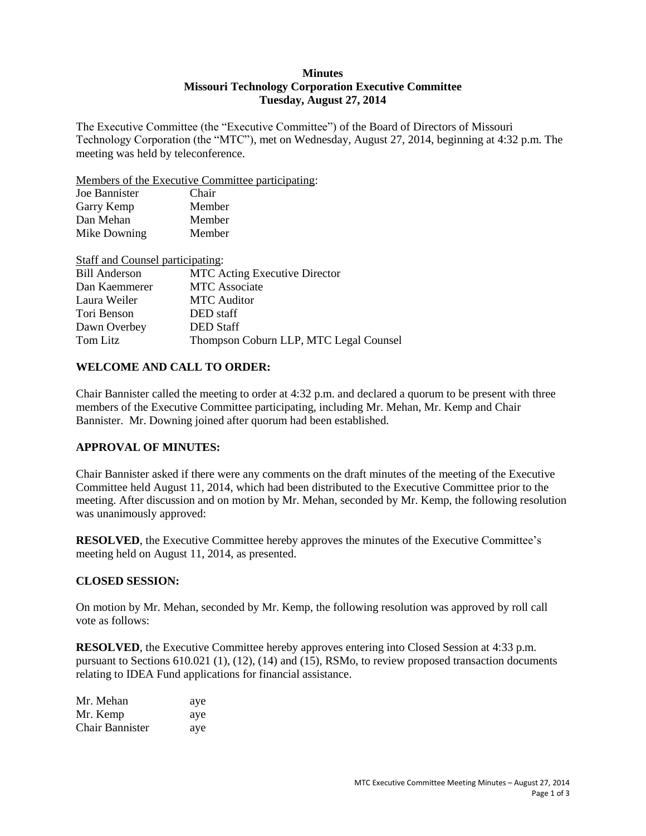#### **Minutes Missouri Technology Corporation Executive Committee Tuesday, August 27, 2014**

The Executive Committee (the "Executive Committee") of the Board of Directors of Missouri Technology Corporation (the "MTC"), met on Wednesday, August 27, 2014, beginning at 4:32 p.m. The meeting was held by teleconference.

Members of the Executive Committee participating:

| Joe Bannister | Chair  |  |
|---------------|--------|--|
| Garry Kemp    | Member |  |
| Dan Mehan     | Member |  |
| Mike Downing  | Member |  |
|               |        |  |

| Staff and Counsel participating: |                                        |
|----------------------------------|----------------------------------------|
| <b>Bill Anderson</b>             | <b>MTC Acting Executive Director</b>   |
| Dan Kaemmerer                    | <b>MTC</b> Associate                   |
| Laura Weiler                     | <b>MTC</b> Auditor                     |
| Tori Benson                      | DED staff                              |
| Dawn Overbey                     | <b>DED</b> Staff                       |
| Tom Litz                         | Thompson Coburn LLP, MTC Legal Counsel |

### **WELCOME AND CALL TO ORDER:**

Chair Bannister called the meeting to order at 4:32 p.m. and declared a quorum to be present with three members of the Executive Committee participating, including Mr. Mehan, Mr. Kemp and Chair Bannister. Mr. Downing joined after quorum had been established.

# **APPROVAL OF MINUTES:**

Chair Bannister asked if there were any comments on the draft minutes of the meeting of the Executive Committee held August 11, 2014, which had been distributed to the Executive Committee prior to the meeting. After discussion and on motion by Mr. Mehan, seconded by Mr. Kemp, the following resolution was unanimously approved:

**RESOLVED**, the Executive Committee hereby approves the minutes of the Executive Committee's meeting held on August 11, 2014, as presented.

#### **CLOSED SESSION:**

On motion by Mr. Mehan, seconded by Mr. Kemp, the following resolution was approved by roll call vote as follows:

**RESOLVED**, the Executive Committee hereby approves entering into Closed Session at 4:33 p.m. pursuant to Sections 610.021 (1), (12), (14) and (15), RSMo, to review proposed transaction documents relating to IDEA Fund applications for financial assistance.

| Mr. Mehan              | aye |
|------------------------|-----|
| Mr. Kemp               | aye |
| <b>Chair Bannister</b> | aye |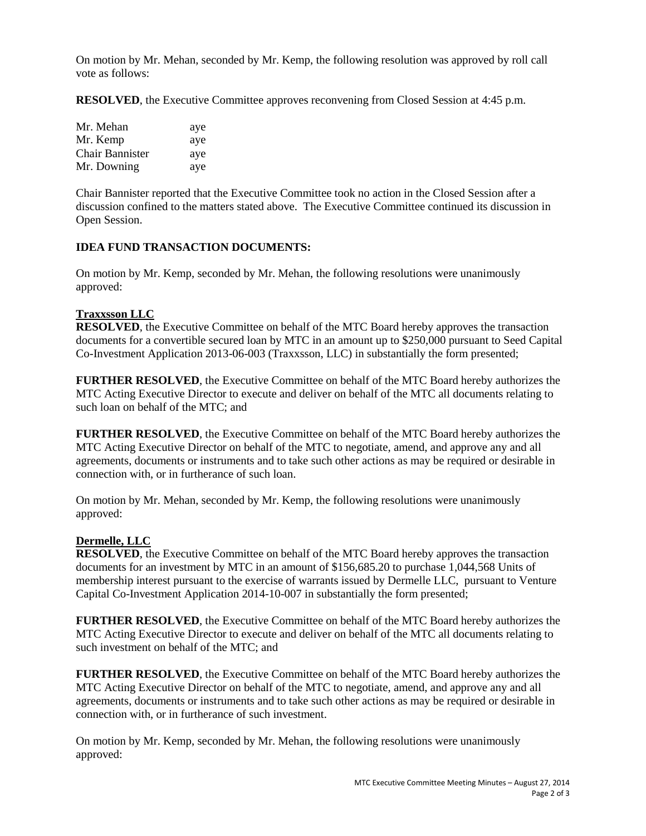On motion by Mr. Mehan, seconded by Mr. Kemp, the following resolution was approved by roll call vote as follows:

**RESOLVED**, the Executive Committee approves reconvening from Closed Session at 4:45 p.m.

| Mr. Mehan              | aye |
|------------------------|-----|
| Mr. Kemp               | aye |
| <b>Chair Bannister</b> | aye |
| Mr. Downing            | aye |

Chair Bannister reported that the Executive Committee took no action in the Closed Session after a discussion confined to the matters stated above. The Executive Committee continued its discussion in Open Session.

### **IDEA FUND TRANSACTION DOCUMENTS:**

On motion by Mr. Kemp, seconded by Mr. Mehan, the following resolutions were unanimously approved:

# **Traxxsson LLC**

**RESOLVED**, the Executive Committee on behalf of the MTC Board hereby approves the transaction documents for a convertible secured loan by MTC in an amount up to \$250,000 pursuant to Seed Capital Co-Investment Application 2013-06-003 (Traxxsson, LLC) in substantially the form presented;

**FURTHER RESOLVED**, the Executive Committee on behalf of the MTC Board hereby authorizes the MTC Acting Executive Director to execute and deliver on behalf of the MTC all documents relating to such loan on behalf of the MTC; and

**FURTHER RESOLVED**, the Executive Committee on behalf of the MTC Board hereby authorizes the MTC Acting Executive Director on behalf of the MTC to negotiate, amend, and approve any and all agreements, documents or instruments and to take such other actions as may be required or desirable in connection with, or in furtherance of such loan.

On motion by Mr. Mehan, seconded by Mr. Kemp, the following resolutions were unanimously approved:

#### **Dermelle, LLC**

**RESOLVED**, the Executive Committee on behalf of the MTC Board hereby approves the transaction documents for an investment by MTC in an amount of \$156,685.20 to purchase 1,044,568 Units of membership interest pursuant to the exercise of warrants issued by Dermelle LLC, pursuant to Venture Capital Co-Investment Application 2014-10-007 in substantially the form presented;

**FURTHER RESOLVED**, the Executive Committee on behalf of the MTC Board hereby authorizes the MTC Acting Executive Director to execute and deliver on behalf of the MTC all documents relating to such investment on behalf of the MTC; and

**FURTHER RESOLVED**, the Executive Committee on behalf of the MTC Board hereby authorizes the MTC Acting Executive Director on behalf of the MTC to negotiate, amend, and approve any and all agreements, documents or instruments and to take such other actions as may be required or desirable in connection with, or in furtherance of such investment.

On motion by Mr. Kemp, seconded by Mr. Mehan, the following resolutions were unanimously approved: